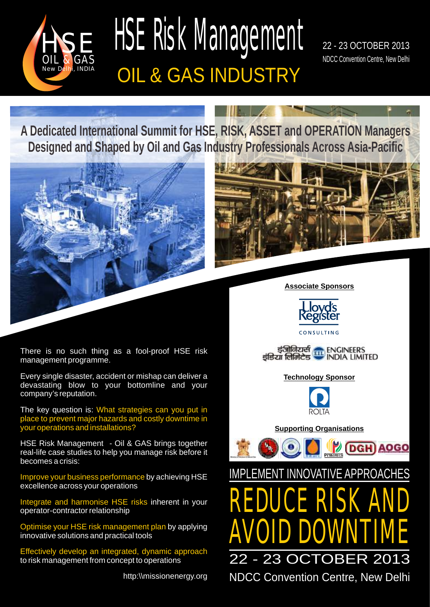

# HSE Risk Management OIL & GAS INDUSTRY

22 - 23 OCTOBER 2013 NDCC Convention Centre, New Delhi

**A Dedicated International Summit for HSE, RISK, ASSET and OPERATION Managers Designed and Shaped by Oil and Gas Industry Professionals Across Asia-Pacific**





**Associate Sponsors**



इंजीनियर्स ENGINEERS<br>इंडिया लिमिटेड WINDIA LIMITED

**Technology Sponsor**



**Supporting Organisations**





There is no such thing as a fool-proof HSE risk management programme.

Every single disaster, accident or mishap can deliver a devastating blow to your bottomline and your company's reputation.

The key question is: What strategies can you put in place to prevent major hazards and costly downtime in your operations and installations?

HSE Risk Management - Oil & GAS brings together real-life case studies to help you manage risk before it becomes a crisis:

by achieving HSE excellence across your operations Improve your business performance

Integrate and harmonise HSE risks inherent in your operator-contractor relationship

by applying innovative solutions and practical tools Optimise your HSE risk management plan

to risk management from concept to operations Effectively develop an integrated, dynamic approach

http:\\missionenergy.org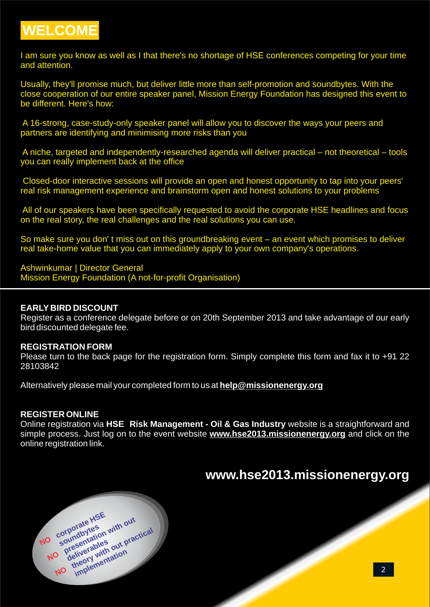

I am sure you know as well as I that there's no shortage of HSE conferences competing for your time and attention.

Usually, they'll promise much, but deliver little more than self-promotion and soundbytes. With the close cooperation of our entire speaker panel, Mission Energy Foundation has designed this event to be different. Here's how:

A 16-strong, case-study-only speaker panel will allow you to discover the ways your peers and partners are identifying and minimising more risks than you

A niche, targeted and independently-researched agenda will deliver practical – not theoretical – tools you can really implement back at the office

 Closed-door interactive sessions will provide an open and honest opportunity to tap into your peers' real risk management experience and brainstorm open and honest solutions to your problems

All of our speakers have been specifically requested to avoid the corporate HSE headlines and focus on the real story, the real challenges and the real solutions you can use.

So make sure you don' t miss out on this groundbreaking event – an event which promises to deliver real take-home value that you can immediately apply to your own company's operations.

Ashwinkumar | Director General

Mission Energy Foundation (A not-for-profit Organisation)

### **EARLY BIRD DISCOUNT**

Register as a conference delegate before or on 20th September 2013 and take advantage of our early bird discounted delegate fee.

### **REGISTRATION FORM**

Please turn to the back page for the registration form. Simply complete this form and fax it to +91 22 28103842

Alternatively please mail your completed form to us at **help@missionenergy.org**

### **REGISTER ONLINE**

Online registration via **HSE Risk Management - Oil & Gas Industry** website is a straightforward and simple process. Just log on to the event website **www.hse2013.missionenergy.org** and click on the online registration link.

# **www.hse2013.missionenergy.org**

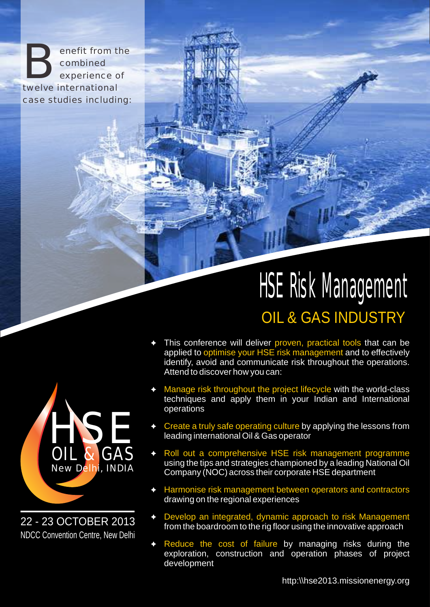enefit from the<br>combined experience of twelve international case studies including:

# HSE Risk Management OIL & GAS INDUSTRY

- This conference will deliver proven, practical tools that can be applied to optimise your HSE risk management and to effectively identify, avoid and communicate risk throughout the operations. Attend to discover how you can: proven, practical tools optimise your HSE risk management
- $\triangleleft$  Manage risk throughout the project lifecycle with the world-class techniques and apply them in your Indian and International operations
- $\triangleleft$  Create a truly safe operating culture by applying the lessons from leading international Oil & Gas operator
- ◆ Roll out a comprehensive HSE risk management programme using the tips and strategies championed by a leading National Oil Company (NOC) across their corporate HSE department
- $\blacklozenge$ drawing on the regional experiences Harmonise risk management between operators and contractors
- $\blacklozenge$ from the boardroom to the rig floor using the innovative approach Develop an integrated, dynamic approach to risk Management
- $\rightarrow$  Reduce the cost of failure by managing risks during the exploration, construction and operation phases of project development



22 - 23 OCTOBER 2013 NDCC Convention Centre, New Delhi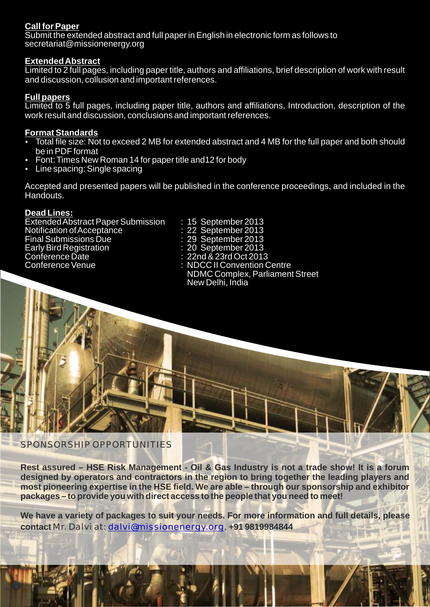# **Call for Paper**

Submit the extended abstract and full paper in English in electronic form as follows to secretariat@missionenergy.org

## **Extended Abstract**

Limited to 2 full pages, including paper title, authors and affiliations, brief description of work with result and discussion, collusion and important references.

# **Full papers**

Limited to 5 full pages, including paper title, authors and affiliations, Introduction, description of the work result and discussion, conclusions and important references.

# **Format Standards**

- Total file size: Not to exceed 2 MB for extended abstract and 4 MB for the full paper and both should be in PDF format
- Font: Times New Roman 14 for paper title and 12 for body
- Line spacing: Single spacing

Accepted and presented papers will be published in the conference proceedings, and included in the Handouts.

## **Dead Lines:**

Extended Abstract Paper Submission : 15 September 2013<br>Notification of Acceptance : 22 September 2013 Notification of Acceptance<br>
Final Submissions Due<br>
: 29 September 2013 Final Submissions Due<br>
Early Bird Registration<br>  $\begin{array}{ccc} 29 & \text{September 2013} \\ 20 & \text{September 2013} \end{array}$ Early Bird Registration<br>Conference Date Conference Date : 22nd & 23rd Oct 2013

**NDCC II Convention Centre**  NDMC Complex, Parliament Street New Delhi, India

SPONSORSHIP OPPORTUNITIES

**Rest assured – HSE Risk Management - Oil & Gas Industry is not a trade show! It is a forum designed by operators and contractors in the region to bring together the leading players and most pioneering expertise in the HSE field. We are able – through our sponsorship and exhibitor packages – to provide you with direct access to the people that you need to meet!**

**We have a variety of packages to suit your needs. For more information and full details, please contact** Mr. Dalvi at: dalvi@missionenergy.org, **+91 9819984844**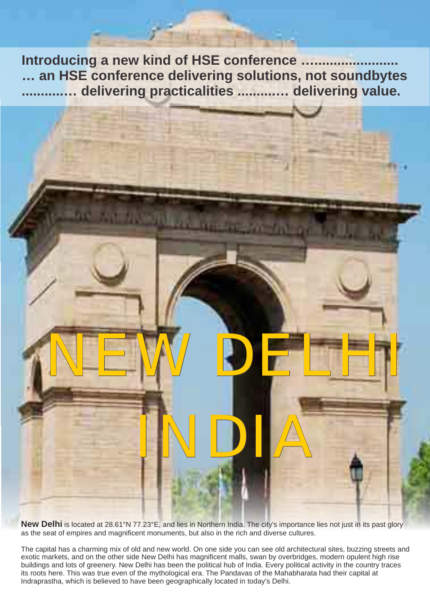**Introducing a new kind of HSE conference …...................... … an HSE conference delivering solutions, not soundbytes ...........… delivering practicalities ..........… delivering value.**

**New Delhi** is located at 28.61°N 77.23°E, and lies in Northern India. The city's importance lies not just in its past glory as the seat of empires and magnificent monuments, but also in the rich and diverse cultures.

NEW DELHI

INDIA

The capital has a charming mix of old and new world. On one side you can see old architectural sites, buzzing streets and exotic markets, and on the other side New Delhi has magnificent malls, swan by overbridges, modern opulent high rise buildings and lots of greenery. New Delhi has been the political hub of India. Every political activity in the country traces its roots here. This was true even of the mythological era. The Pandavas of the Mahabharata had their capital at Indraprastha, which is believed to have been geographically located in today's Delhi.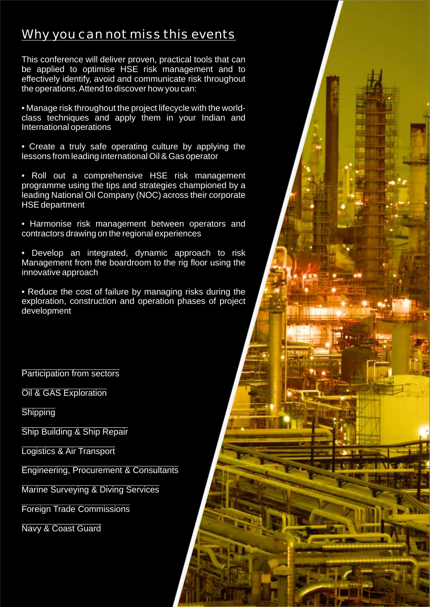# Why you can not miss this events

This conference will deliver proven, practical tools that can be applied to optimise HSE risk management and to effectively identify, avoid and communicate risk throughout the operations. Attend to discover how you can:

• Manage risk throughout the project lifecycle with the worldclass techniques and apply them in your Indian and International operations

• Create a truly safe operating culture by applying the lessons from leading international Oil & Gas operator

• Roll out a comprehensive HSE risk management programme using the tips and strategies championed by a leading National Oil Company (NOC) across their corporate HSE department

• Harmonise risk management between operators and contractors drawing on the regional experiences

• Develop an integrated, dynamic approach to risk Management from the boardroom to the rig floor using the innovative approach

• Reduce the cost of failure by managing risks during the exploration, construction and operation phases of project development

Participation from sectors

Oil & GAS Exploration

**Shipping** 

Ship Building & Ship Repair

Logistics & Air Transport

Engineering, Procurement & Consultants

Marine Surveying & Diving Services

Foreign Trade Commissions

Navy & Coast Guard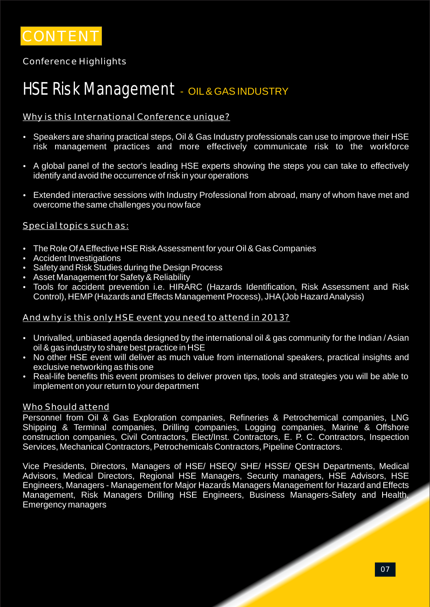

Conference Highlights

# **HSE Risk Management** - oll & gas industry

# Why is this International Conference unique?

- Speakers are sharing practical steps, Oil & Gas Industry professionals can use to improve their HSE risk management practices and more effectively communicate risk to the workforce
- A global panel of the sector's leading HSE experts showing the steps you can take to effectively identify and avoid the occurrence of risk in your operations
- Extended interactive sessions with Industry Professional from abroad, many of whom have met and overcome the same challenges you now face

# Special topics such as:

- The Role Of A Effective HSE Risk Assessment for your Oil & Gas Companies
- Accident Investigations
- Safety and Risk Studies during the Design Process
- Asset Management for Safety & Reliability
- Ÿ Tools for accident prevention i.e. HIRARC (Hazards Identification, Risk Assessment and Risk Control), HEMP(Hazards and Effects Management Process), JHA(Job Hazard Analysis)

## And why is this only HSE event you need to attend in 2013?

- Unrivalled, unbiased agenda designed by the international oil & gas community for the Indian / Asian oil & gas industry to share best practice in HSE
- No other HSE event will deliver as much value from international speakers, practical insights and exclusive networking as this one
- Real-life benefits this event promises to deliver proven tips, tools and strategies you will be able to implement on your return to your department

### Who Should attend

Personnel from Oil & Gas Exploration companies, Refineries & Petrochemical companies, LNG Shipping & Terminal companies, Drilling companies, Logging companies, Marine & Offshore construction companies, Civil Contractors, Elect/Inst. Contractors, E. P. C. Contractors, Inspection Services, Mechanical Contractors, Petrochemicals Contractors, Pipeline Contractors.

Vice Presidents, Directors, Managers of HSE/ HSEQ/ SHE/ HSSE/ QESH Departments, Medical Advisors, Medical Directors, Regional HSE Managers, Security managers, HSE Advisors, HSE Engineers, Managers - Management for Major Hazards Managers Management for Hazard and Effects Management, Risk Managers Drilling HSE Engineers, Business Managers-Safety and Health, Emergency managers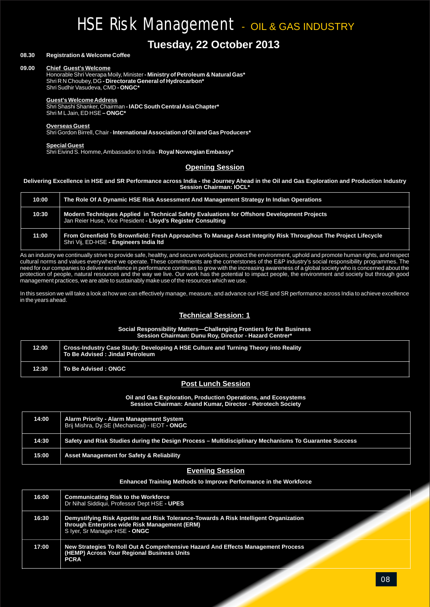# HSE Risk Management - OIL & GAS INDUSTRY

# **Tuesday, 22 October 2013**

#### **08.30 Registration & Welcome Coffee**

#### **09.00 Chief Guest's Welcome**

Honorable Shri Veerapa Moily, Minister **- Ministry of Petroleum & Natural Gas\*** Shri R N Choubey, DG **- Directorate General of Hydrocarbon\*** Shri Sudhir Vasudeva, CMD **- ONGC\***

#### **Guest's Welcome Address**

 Shri Shashi Shanker, Chairman **- IADC South Central Asia Chapter\*** Shri M LJain, ED HSE **– ONGC\***

#### **Overseas Guest**

Shri Gordon Birrell, Chair - **International Association of Oil and Gas Producers\***

#### **Special Guest**

Shri Eivind S. Homme, Ambassador to India - **Royal Norwegian Embassy\***

#### **Opening Session**

#### **Delivering Excellence in HSE and SR Performance across India - the Journey Ahead in the Oil and Gas Exploration and Production Industry Session Chairman: IOCL\***

| 10:00 | The Role Of A Dynamic HSE Risk Assessment And Management Strategy In Indian Operations                                                                      |  |  |
|-------|-------------------------------------------------------------------------------------------------------------------------------------------------------------|--|--|
| 10:30 | Modern Techniques Applied in Technical Safety Evaluations for Offshore Development Projects<br>Jan Reier Huse, Vice President - Lloyd's Register Consulting |  |  |
| 11:00 | From Greenfield To Brownfield: Fresh Approaches To Manage Asset Integrity Risk Throughout The Project Lifecycle<br>Shri Vij, ED-HSE - Engineers India Itd   |  |  |

As an industry we continually strive to provide safe, healthy, and secure workplaces; protect the environment, uphold and promote human rights, and respect cultural norms and values everywhere we operate. These commitments are the cornerstones of the E&P industry's social responsibility programmes. The need for our companies to deliver excellence in performance continues to grow with the increasing awareness of a global society who is concerned about the protection of people, natural resources and the way we live. Our work has the potential to impact people, the environment and society but through good management practices, we are able to sustainably make use of the resources which we use.

In this session we will take a look at how we can effectively manage, measure, and advance our HSE and SR performance across India to achieve excellence in the years ahead.

#### **Technical Session: 1**

#### **Social Responsibility Matters—Challenging Frontiers for the Business Session Chairman: Dunu Roy, Director - Hazard Centrer\***

| 12:00 | Cross-Industry Case Study: Developing A HSE Culture and Turning Theory into Reality<br>To Be Advised: Jindal Petroleum |
|-------|------------------------------------------------------------------------------------------------------------------------|
| 12:30 | To Be Advised : ONGC                                                                                                   |

#### **Post Lunch Session**

**Oil and Gas Exploration, Production Operations, and Ecosystems Session Chairman: Anand Kumar, Director - Petrotech Society** 

| 14:00 | <b>Alarm Priority - Alarm Management System</b><br>Brij Mishra, Dy.SE (Mechanical) - IEOT - ONGC      |
|-------|-------------------------------------------------------------------------------------------------------|
| 14:30 | Safety and Risk Studies during the Design Process – Multidisciplinary Mechanisms To Guarantee Success |
| 15:00 | <b>Asset Management for Safety &amp; Reliability</b>                                                  |

#### **Evening Session**

#### **Enhanced Training Methods to Improve Performance in the Workforce**

| 16:00 | <b>Communicating Risk to the Workforce</b><br>Dr Nihal Siddiqui, Professor Dept HSE - UPES                                                                              |  |
|-------|-------------------------------------------------------------------------------------------------------------------------------------------------------------------------|--|
| 16:30 | Demystifying Risk Appetite and Risk Tolerance-Towards A Risk Intelligent Organization<br>through Enterprise wide Risk Management (ERM)<br>S Iyer, Sr Manager-HSE - ONGC |  |
| 17:00 | New Strategies To Roll Out A Comprehensive Hazard And Effects Management Process<br>(HEMP) Across Your Regional Business Units<br><b>PCRA</b>                           |  |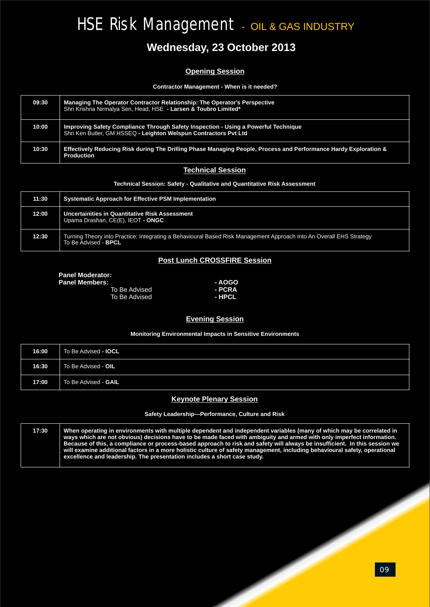# HSE Risk Management - OIL & GAS INDUSTRY

# **Wednesday, 23 October 2013**

### **Opening Session**

#### **Contractor Management - When is it needed?**

| 09:30 | Managing The Operator Contractor Relationship: The Operator's Perspective<br>Shri Krishna Nirmalya Sen, Head, HSE - Larsen & Toubro Limited*           |
|-------|--------------------------------------------------------------------------------------------------------------------------------------------------------|
| 10:00 | Improving Safety Compliance Through Safety Inspection - Using a Powerful Technique<br>Shri Ken Butler, GM HSSEQ - Leighton Welspun Contractors Pvt Ltd |
| 10:30 | Effectively Reducing Risk during The Drilling Phase Managing People, Process and Performance Hardy Exploration &<br><b>Production</b>                  |

#### **Technical Session**

#### **Technical Session: Safety - Qualitative and Quantitative Risk Assessment**

| 11:30 | Systematic Approach for Effective PSM Implementation                                                                                               |  |  |
|-------|----------------------------------------------------------------------------------------------------------------------------------------------------|--|--|
| 12:00 | Uncertainities in Quantitative Risk Assessment<br>Upama Drashan, CE(E), IEOT - ONGC                                                                |  |  |
| 12:30 | Turning Theory into Practice: Integrating a Behavioural Based Risk Management Approach Into An Overall EHS Strategy<br>To Be Advised - <b>BPCL</b> |  |  |

#### **Post Lunch CROSSFIRE Session**

| <b>Panel Moderator:</b> |
|-------------------------|
| <b>Panel Members:</b>   |
| To Be Advis             |

**To Be Advised** 

**Panel Members: - AOGO** To Be Advised **- PCRA**

#### **Evening Session**

#### **Monitoring Environmental Impacts in Sensitive Environments**

| 16:00 | To Be Advised - <b>IOCL</b> |
|-------|-----------------------------|
| 16:30 | To Be Advised - OIL         |
| 17:00 | To Be Advised - GAIL        |

#### **Keynote Plenary Session**

**Safety Leadership—Performance, Culture and Risk**

**17:30 When operating in environments with multiple dependent and independent variables (many of which may be correlated in ways which are not obvious) decisions have to be made faced with ambiguity and armed with only imperfect information. Because of this, a compliance or process-based approach to risk and safety will always be insufficient. In this session we will examine additional factors in a more holistic culture of safety management, including behavioural safety, operational excellence and leadership. The presentation includes a short case study.**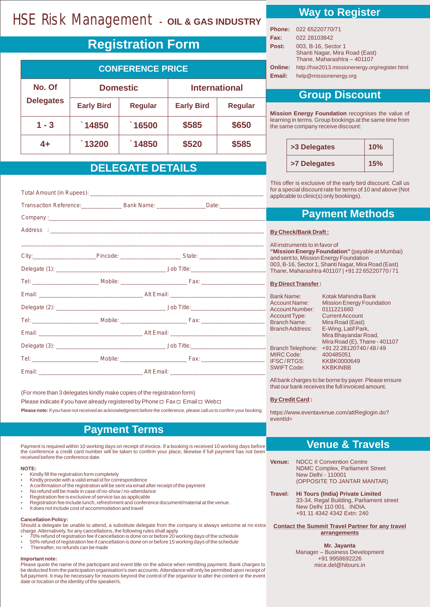# HSE Risk Management **- OIL & GAS INDUSTRY**

# **Registration Form**

|                  |                   | <b>CONFERENCE PRICE</b> |                      |                |
|------------------|-------------------|-------------------------|----------------------|----------------|
| No. Of           | <b>Domestic</b>   |                         | <b>International</b> |                |
| <b>Delegates</b> | <b>Early Bird</b> | <b>Regular</b>          | <b>Early Bird</b>    | <b>Regular</b> |
| $1 - 3$          | $\hat{ }$ 14850   | $\hat{ }$ 16500         | \$585                | \$650          |
| 4+               | 13200             | 14850                   | \$520                | \$585          |

# **DELEGATE DETAILS**

|  | Transaction Reference: _______________________Bank Name: ___________________Date: __________________ |  |
|--|------------------------------------------------------------------------------------------------------|--|
|  |                                                                                                      |  |
|  |                                                                                                      |  |
|  |                                                                                                      |  |
|  |                                                                                                      |  |
|  |                                                                                                      |  |
|  |                                                                                                      |  |
|  |                                                                                                      |  |
|  |                                                                                                      |  |
|  |                                                                                                      |  |
|  |                                                                                                      |  |
|  |                                                                                                      |  |
|  |                                                                                                      |  |
|  |                                                                                                      |  |

(For more than 3 delegates kindly make copies of the registration form)

Please indicate if you have already registered by Phone  $\Box$  Fax  $\Box$  Email  $\Box$  Web $\Box$ 

**Please note:** If you have not received an acknowledgment before the conference, please call us to confirm your booking.

# **Payment Terms**

Payment is required within 10 working days on receipt of invoice. If a booking is received 10 working days before the conference a credit card number will be taken to confirm your place, likewise if full payment has not been received before the conference date.

#### **NOTE:**

- Kindly fill the registration form completely
- Xindly provide with a valid email id for correspondence
- A confirmation of the registration will be sent via email after receipt of the payment
- No refund will be made in case of no-show / no-attendance
- Registration fee is exclusive of service tax as applicable
- Registration fee include lunch, refreshment and conference document/material at the venue.
- It does not include cost of accommodation and travel

#### **Cancellation Policy:**

Should a delegate be unable to attend, a substitute delegate from the company is always welcome at no extra charge. Alternatively, for any cancellations, the following rules shall apply

- 70% refund of registration fee if cancellation is done on or before 20 working days of the schedule 50% refund of registration fee if cancellation is done on or before 15 working days of the schedule
- Thereafter, no refunds can be made

**Important note:**

Please quote the name of the participant and event title on the advice when remitting payment. Bank charges to be deducted from the participation organisation's own accounts. Attendance will only be permitted upon receipt of full payment. It may be necessary for reasons beyond the control of the organisor to alter the content or the event date or location or the identity of the speaker/s.

# **Way to Register**

| <b>Phone:</b>  | 022 65220770/71                                                                      |
|----------------|--------------------------------------------------------------------------------------|
| Fax:           | 022 28103842                                                                         |
| Post:          | 003, B-16, Sector 1<br>Shanti Nagar, Mira Road (East)<br>Thane, Maharashtra - 401107 |
| <b>Online:</b> | http://hse2013.missionenergy.org/register.html                                       |
| Email:         | help@missionenergy.org                                                               |

### **Group Discount**

**Mission Energy Foundation** recognises the value of learning in terms. Group bookings at the same time from the same company receive discount:

| >3 Delegates | 10% |
|--------------|-----|
| >7 Delegates | 15% |

This offer is exclusive of the early bird discount. Call us for a special discount rate for terms of 10 and above (Not applicable to clinic(s) only bookings).

# **Payment Methods**

#### **By Check/Bank Draft :**

All instruments to in favor of **"Mission Energy Foundation"** (payable at Mumbai) and sent to, Mission Energy Foundation 003, B-16, Sector 1, Shanti Nagar, Mira Road (East) Thane, Maharashtra 401107 | +91 22 65220770 / 71

#### **By Direct Transfer :**

Bank Name: Kotak Mahindra Bank<br>Account Name: Mission Energy Found Account Number:<br>Account Type: Account Type: Current Account<br>Branch Name: Mira Road (Fast) Branch Name: Mira Road (East)<br>Branch Address: E-Wing, Latif Par MIRC Code: 400485051<br>IESC/RTGS: KKBK0000649 IFSC/RTGS: KKBK00006<br>SWIFT Code: KKBKINBB SWIFT Code:

Mission Energy Foundation<br>0111221660 E-Wing, Latif Park, Mira Bhayandar Road, Mira Road (E), Thane - 401107 Branch Telephone: +91 22 28120740 / 48 / 49<br>MIRC Code: 400485051

All bank charges to be borne by payer. Please ensure that our bank receives the full invoiced amount.

#### **By Credit Card :**

https://www.eventavenue.com/attReglogin.do? eventId=

# **Venue & Travels**

**Venue:** NDCC II Convention Centre NDMC Complex, Parliament Street New Delhi - 110001 (OPPOSITE TO JANTAR MANTAR)

**Travel: Hi Tours (India) Private Limited** 33-34, Regal Building, Parliament street New Delhi 110 001. INDIA. +91 11 4342 4342 Extn: 240

**Contact the Summit Travel Partner for any travel arrangements**

> **Mr. Jayanta** Manager – Business Development +91 9958692226 mice.del@hitours.in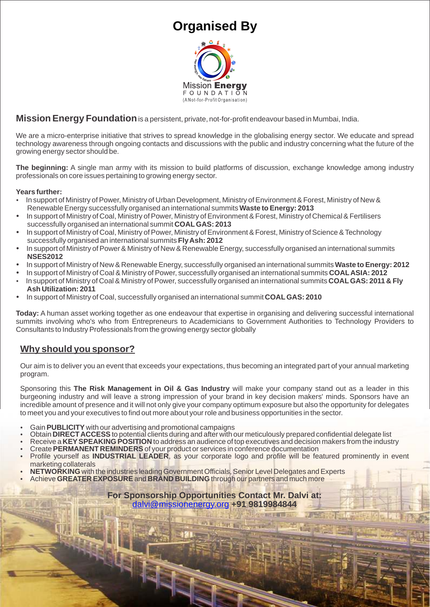# **Organised By**



### **Mission Energy Foundation**is a persistent, private, not-for-profit endeavour based in Mumbai, India.

We are a micro-enterprise initiative that strives to spread knowledge in the globalising energy sector. We educate and spread technology awareness through ongoing contacts and discussions with the public and industry concerning what the future of the growing energy sector should be.

**The beginning:** A single man army with its mission to build platforms of discussion, exchange knowledge among industry professionals on core issues pertaining to growing energy sector.

#### **Years further:**

- $\bullet$  Renewable Energy successfully organised an international summits **Waste to Energy: 2013** In support of Ministry of Power, Ministry of Urban Development, Ministry of Environment & Forest, Ministry of New &
- In support of Ministry of Coal, Ministry of Power, Ministry of Environment & Forest, Ministry of Chemical & Fertilisers successfully organised an international summit **COALGAS: 2013**
- In support of Ministry of Coal, Ministry of Power, Ministry of Environment & Forest, Ministry of Science & Technology successfully organised an international summits **Fly Ash: 2012**
- In support of Ministry of Power & Ministry of New & Renewable Energy, successfully organised an international summits **NSES2012**
- In support of Ministry of New & Renewable Energy, successfully organised an international summits **Waste to Energy: 2012**
- In support of Ministry of Coal & Ministry of Power, successfully organised an international summits **COALASIA: 2012**
- In support of Ministry of Coal & Ministry of Power, successfully organised an international summits **COAL GAS: 2011 & Fly Ash Utilization: 2011**
- In support of Ministry of Coal, successfully organised an international summit **COAL GAS: 2010**

**Today:** A human asset working together as one endeavour that expertise in organising and delivering successful international summits involving who's who from Entrepreneurs to Academicians to Government Authorities to Technology Providers to Consultants to Industry Professionals from the growing energy sector globally

# **Why should you sponsor?**

Our aim is to deliver you an event that exceeds your expectations, thus becoming an integrated part of your annual marketing program.

Sponsoring this **The Risk Management in Oil & Gas Industry** will make your company stand out as a leader in this burgeoning industry and will leave a strong impression of your brand in key decision makers' minds. Sponsors have an incredible amount of presence and it will not only give your company optimum exposure but also the opportunity for delegates to meet you and your executives to find out more about your role and business opportunities in the sector.

- Gain **PUBLICITY** with our advertising and promotional campaigns
- Obtain **DIRECT ACCESS** to potential clients during and after with our meticulously prepared confidential delegate list
- Receive a KEY SPEAKING POSITION to address an audience of top executives and decision makers from the industry
- Create PERMANENT REMINDERS of your product or services in conference documentation
- Profile yourself as **INDUSTRIAL LEADER**, as your corporate logo and profile will be featured prominently in event marketing collaterals
- **NETWORKING** with the industries leading Government Officials, Senior Level Delegates and Experts
- Achieve GREATER EXPOSURE and BRAND BUILDING through our partners and much more

### **For Sponsorship Opportunities Contact Mr. Dalvi at:**  dalvi@missionenergy.org **+91 9819984844**